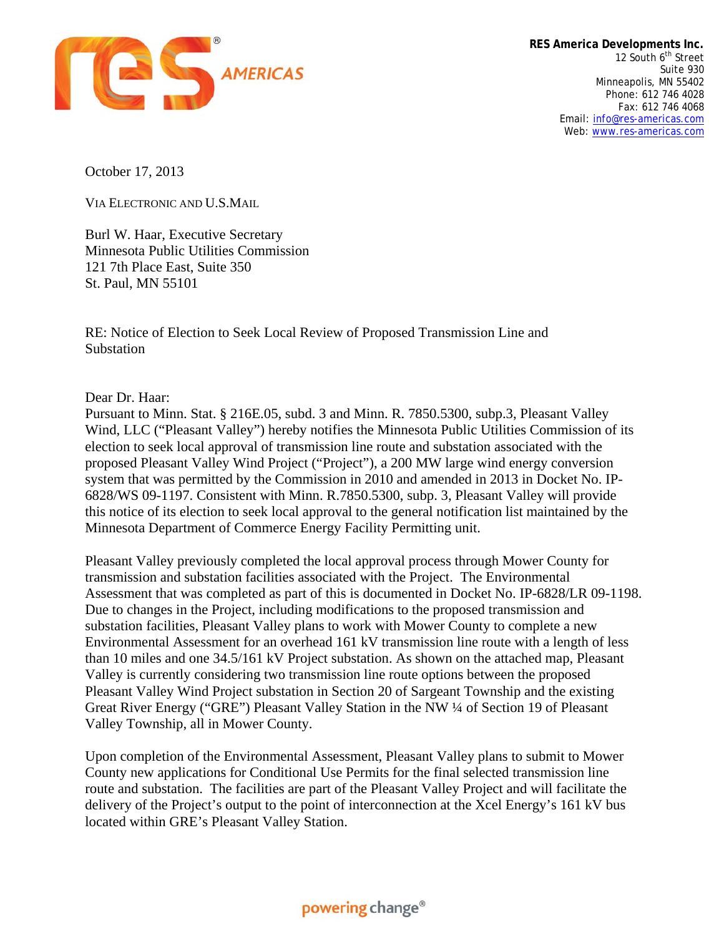

**RES America Developments Inc.** 12 South 6<sup>th</sup> Street Suite 930 Minneapolis, MN 55402 Phone: 612 746 4028 Fax: 612 746 4068 Email: info@res-americas.com Web: www.res-americas.com

October 17, 2013

VIA ELECTRONIC AND U.S.MAIL

Burl W. Haar, Executive Secretary Minnesota Public Utilities Commission 121 7th Place East, Suite 350 St. Paul, MN 55101

RE: Notice of Election to Seek Local Review of Proposed Transmission Line and Substation

Dear Dr. Haar:

Pursuant to Minn. Stat. § 216E.05, subd. 3 and Minn. R. 7850.5300, subp.3, Pleasant Valley Wind, LLC ("Pleasant Valley") hereby notifies the Minnesota Public Utilities Commission of its election to seek local approval of transmission line route and substation associated with the proposed Pleasant Valley Wind Project ("Project"), a 200 MW large wind energy conversion system that was permitted by the Commission in 2010 and amended in 2013 in Docket No. IP-6828/WS 09-1197. Consistent with Minn. R.7850.5300, subp. 3, Pleasant Valley will provide this notice of its election to seek local approval to the general notification list maintained by the Minnesota Department of Commerce Energy Facility Permitting unit.

Pleasant Valley previously completed the local approval process through Mower County for transmission and substation facilities associated with the Project. The Environmental Assessment that was completed as part of this is documented in Docket No. IP-6828/LR 09-1198. Due to changes in the Project, including modifications to the proposed transmission and substation facilities, Pleasant Valley plans to work with Mower County to complete a new Environmental Assessment for an overhead 161 kV transmission line route with a length of less than 10 miles and one 34.5/161 kV Project substation. As shown on the attached map, Pleasant Valley is currently considering two transmission line route options between the proposed Pleasant Valley Wind Project substation in Section 20 of Sargeant Township and the existing Great River Energy ("GRE") Pleasant Valley Station in the NW ¼ of Section 19 of Pleasant Valley Township, all in Mower County.

Upon completion of the Environmental Assessment, Pleasant Valley plans to submit to Mower County new applications for Conditional Use Permits for the final selected transmission line route and substation. The facilities are part of the Pleasant Valley Project and will facilitate the delivery of the Project's output to the point of interconnection at the Xcel Energy's 161 kV bus located within GRE's Pleasant Valley Station.

## powering change®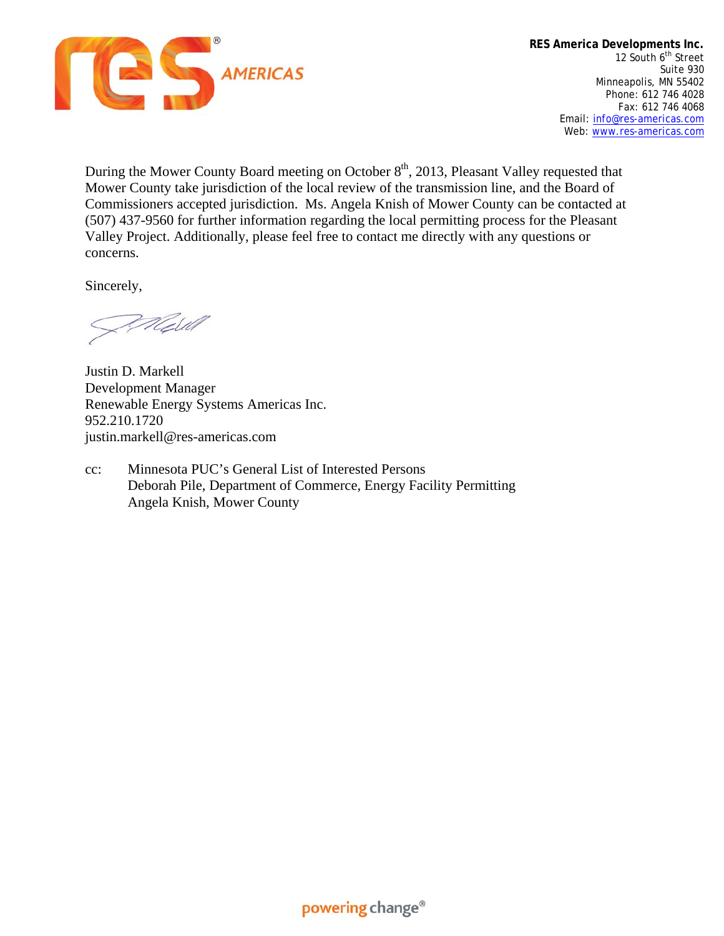

During the Mower County Board meeting on October  $8<sup>th</sup>$ , 2013, Pleasant Valley requested that Mower County take jurisdiction of the local review of the transmission line, and the Board of Commissioners accepted jurisdiction. Ms. Angela Knish of Mower County can be contacted at (507) 437-9560 for further information regarding the local permitting process for the Pleasant Valley Project. Additionally, please feel free to contact me directly with any questions or concerns.

Sincerely,

Well

Justin D. Markell Development Manager Renewable Energy Systems Americas Inc. 952.210.1720 justin.markell@res-americas.com

cc: Minnesota PUC's General List of Interested Persons Deborah Pile, Department of Commerce, Energy Facility Permitting Angela Knish, Mower County